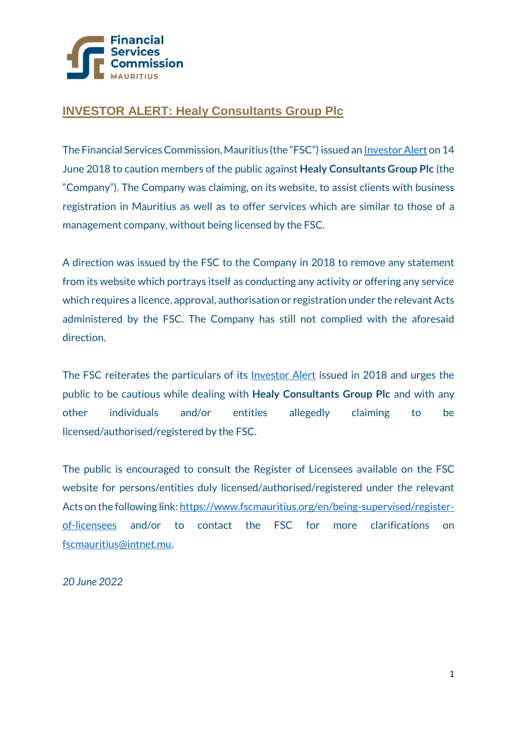

## **INVESTOR ALERT: Healy Consultants Group Plc**

The Financial Services Commission, Mauritius (the "FSC") issued a[n Investor Alert](https://www.fscmauritius.org/media/4474/healy-investor-alert.pdf) on 14 June 2018 to caution members of the public against **Healy Consultants Group Plc** (the "Company"). The Company was claiming, on its website, to assist clients with business registration in Mauritius as well as to offer services which are similar to those of a management company, without being licensed by the FSC.

A direction was issued by the FSC to the Company in 2018 to remove any statement from its website which portrays itself as conducting any activity or offering any service which requires a licence, approval, authorisation or registration under the relevant Acts administered by the FSC. The Company has still not complied with the aforesaid direction.

The FSC reiterates the particulars of its [Investor Alert](https://www.fscmauritius.org/en/enforcement/investor-alerts/undefined/en/enforcement/investor-alerts/unauthorised#tab-5) issued in 2018 and urges the public to be cautious while dealing with **Healy Consultants Group Plc** and with any other individuals and/or entities allegedly claiming to be licensed/authorised/registered by the FSC.

The public is encouraged to consult the Register of Licensees available on the FSC website for persons/entities duly licensed/authorised/registered under the relevant Acts on the following link[: https://www.fscmauritius.org/en/being-supervised/register](https://www.fscmauritius.org/en/being-supervised/register-of-licensees)[of-licensees](https://www.fscmauritius.org/en/being-supervised/register-of-licensees) and/or to contact the FSC for more clarifications on [fscmauritius@intnet.mu.](mailto:fscmauritius@intnet.mu)

*20 June 2022*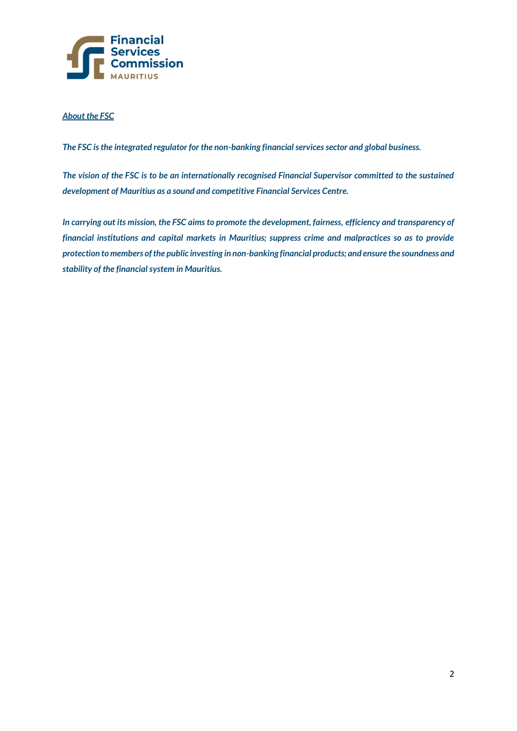

## *About the FSC*

*The FSC is the integrated regulator for the non-banking financial services sector and global business.* 

*The vision of the FSC is to be an internationally recognised Financial Supervisor committed to the sustained development of Mauritius as a sound and competitive Financial Services Centre.* 

*In carrying out its mission, the FSC aims to promote the development, fairness, efficiency and transparency of financial institutions and capital markets in Mauritius; suppress crime and malpractices so as to provide protection to members of the public investing in non-banking financial products; and ensure the soundness and stability of the financial system in Mauritius.*